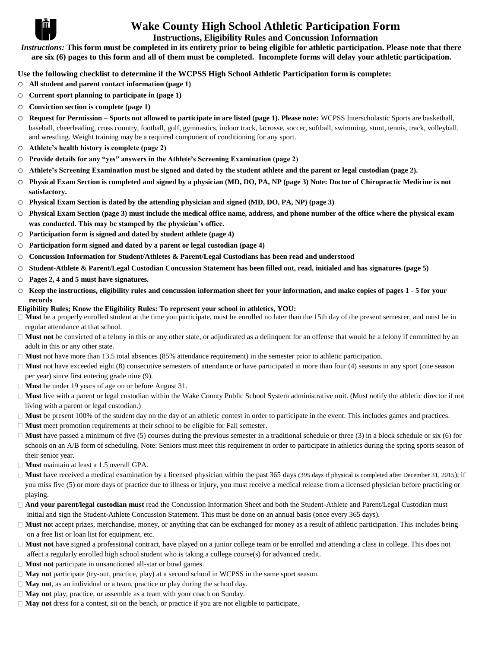

# **Wake County High School Athletic Participation Form**

### **Instructions, Eligibility Rules and Concussion Information**

*Instructions:* **This form must be completed in its entirety prior to being eligible for athletic participation. Please note that there are six (6) pages to this form and all of them must be completed. Incomplete forms will delay your athletic participation.**

**Use the following checklist to determine if the WCPSS High School Athletic Participation form is complete:** 

- o **All student and parent contact information (page 1)**
- o **Current sport planning to participate in (page 1)**
- o **Conviction section is complete (page 1)**
- o **Request for Permission – Sports not allowed to participate in are listed (page 1). Please note:** WCPSS Interscholastic Sports are basketball, baseball, cheerleading, cross country, football, golf, gymnastics, indoor track, lacrosse, soccer, softball, swimming, stunt, tennis, track, volleyball, and wrestling. Weight training may be a required component of conditioning for any sport.
- o **Athlete's health history is complete (page 2)**
- o **Provide details for any "yes" answers in the Athlete's Screening Examination (page 2)**
- o **Athlete's Screening Examination must be signed and dated by the student athlete and the parent or legal custodian (page 2).**
- o **Physical Exam Section is completed and signed by a physician (MD, DO, PA, NP (page 3) Note: Doctor of Chiropractic Medicine is not satisfactory.**
- o **Physical Exam Section is dated by the attending physician and signed (MD, DO, PA, NP) (page 3)**
- o **Physical Exam Section (page 3) must include the medical office name, address, and phone number of the office where the physical exam was conducted. This may be stamped by the physician's office.**
- o **Participation form is signed and dated by student athlete (page 4)**
- o **Participation form signed and dated by a parent or legal custodian (page 4)**
- o **Concussion Information for Student/Athletes & Parent/Legal Custodians has been read and understood**
- o **Student-Athlete & Parent/Legal Custodian Concussion Statement has been filled out, read, initialed and has signatures (page 5)**
- o **Pages 2, 4 and 5 must have signatures.**
- o **Keep the instructions, eligibility rules and concussion information sheet for your information, and make copies of pages 1 - 5 for your records**
- **Eligibility Rules; Know the Eligibility Rules: To represent your school in athletics, YOU:**
- □ **Must** be a properly enrolled student at the time you participate, must be enrolled no later than the 15th day of the present semester, and must be in regular attendance at that school.
- □ **Must not** be convicted of a felony in this or any other state, or adjudicated as a delinquent for an offense that would be a felony if committed by an adult in this or any other state.
- □ **Must** not have more than 13.5 total absences (85% attendance requirement) in the semester prior to athletic participation.
- $\Box$  **Must** not have exceeded eight (8) consecutive semesters of attendance or have participated in more than four (4) seasons in any sport (one season per year) since first entering grade nine (9).
- **Must** be under 19 years of age on or before August 31.
- □ **Must** live with a parent or legal custodian within the Wake County Public School System administrative unit. (Must notify the athletic director if not living with a parent or legal custodian.)
- □ **Must** be present 100% of the student day on the day of an athletic contest in order to participate in the event. This includes games and practices.
- □ **Must** meet promotion requirements at their school to be eligible for Fall semester.
- □ **Must** have passed a minimum of five (5) courses during the previous semester in a traditional schedule or three (3) in a block schedule or six (6) for schools on an A/B form of scheduling. Note: Seniors must meet this requirement in order to participate in athletics during the spring sports season of their senior year.
- □ **Must** maintain at least a 1.5 overall GPA.
- $\Box$  **Must** have received a medical examination by a licensed physician within the past 365 days (395 days if physical is completed after December 31, 2015); if you miss five (5) or more days of practice due to illness or injury, you must receive a medical release from a licensed physician before practicing or playing.
- **And your parent/legal custodian must** read the Concussion Information Sheet and both the Student-Athlete and Parent/Legal Custodian must initial and sign the Student-Athlete Concussion Statement. This must be done on an annual basis (once every 365 days).
- **Must no**t accept prizes, merchandise, money, or anything that can be exchanged for money as a result of athletic participation. This includes being on a free list or loan list for equipment, etc.
- □ **Must not** have signed a professional contract, have played on a junior college team or be enrolled and attending a class in college. This does not affect a regularly enrolled high school student who is taking a college course(s) for advanced credit.
- **Must not** participate in unsanctioned all-star or bowl games.
- **May not** participate (try-out, practice, play) at a second school in WCPSS in the same sport season.
- **May not**, as an individual or a team, practice or play during the school day.
- **May not** play, practice, or assemble as a team with your coach on Sunday.
- $\Box$  **May not** dress for a contest, sit on the bench, or practice if you are not eligible to participate.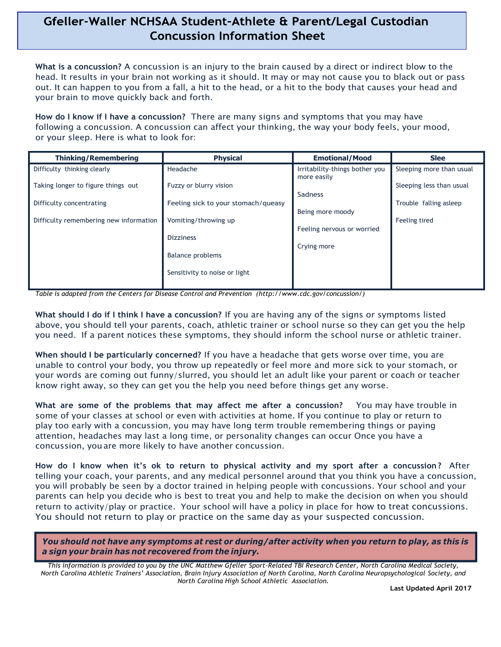# Gfeller-Waller NCHSAA Student-Athlete & Parent/Legal Custodian **Concussion Information Sheet**

**What is a concussion?** A concussion is an injury to the brain caused by a direct or indirect blow to the head. It results in your brain not working as it should. It may or may not cause you to black out or pass out. It can happen to you from a fall, a hit to the head, or a hit to the body that causes your head and your brain to move quickly back and forth.

**How do I know if I have a concussion?** There are many signs and symptoms that you may have following a concussion. A concussion can affect your thinking, the way your body feels, your mood, or your sleep. Here is what to look for:

| <b>Thinking/Remembering</b>            | <b>Physical</b>                     | <b>Emotional/Mood</b>          | <b>Slee</b>              |
|----------------------------------------|-------------------------------------|--------------------------------|--------------------------|
| Difficulty thinking clearly            | Headache                            | Irritability-things bother you | Sleeping more than usual |
|                                        | Fuzzy or blurry vision              | more easily                    | Sleeping less than usual |
| Taking longer to figure things out     |                                     | Sadness                        |                          |
| Difficulty concentrating               | Feeling sick to your stomach/queasy |                                | Trouble falling asleep   |
|                                        |                                     | Being more moody               |                          |
| Difficulty remembering new information | Vomiting/throwing up                |                                | Feeling tired            |
|                                        |                                     | Feeling nervous or worried     |                          |
|                                        | <b>Dizziness</b>                    | Crying more                    |                          |
|                                        | Balance problems                    |                                |                          |
|                                        |                                     |                                |                          |
|                                        | Sensitivity to noise or light       |                                |                          |
|                                        |                                     |                                |                          |

*Table is adapted from the Centers for Disease Control and Prevention (http://www.cdc.gov/concussion/)*

**What should I do if I think I have a concussion?** If you are having any of the signs or symptoms listed above, you should tell your parents, coach, athletic trainer or school nurse so they can get you the help you need. If a parent notices these symptoms, they should inform the school nurse or athletic trainer.

**When should I be particularly concerned?** If you have a headache that gets worse over time, you are unable to control your body, you throw up repeatedly or feel more and more sick to your stomach, or your words are coming out funny/slurred, you should let an adult like your parent or coach or teacher know right away, so they can get you the help you need before things get any worse. **What** are some of the problems that may affect me after a concussion? You may have trouble in some of your stomach, or your words are coming out funny/slurred, you should let an adult like your parent or coach or teache k

some of your classes at school or even with activities at home. If you continue to play or return to play too early with a concussion, you may have long term trouble remembering things or paying attention, headaches may last a long time, or personality changes can occur Once you have a concussion, youare more likely to have another concussion.

**How do I know when it's ok to return to physical activity and my sport after a concussion?** After telling your coach, your parents, and any medical personnel around that you think you have a concussion, you will probably be seen by a doctor trained in helping people with concussions. Your school and your parents can help you decide who is best to treat you and help to make the decision on when you should return to activity/play or practice. Your school will have a policy in place for how to treat concussions. You should not return to play or practice on the same day as your suspected concussion.

You should not have any symptoms at rest or during/after activity when you return to play, as this is *a sign your brain has not recovered from the injury.*

*This information is provided to you by the UNC Matthew Gfeller Sport-Related TBI Research Center, North Carolina Medical Society, North Carolina Athletic Trainers' Association, Brain Injury Association of North Carolina, North Carolina Neuropsychological Society, and North Carolina High School Athletic Association.*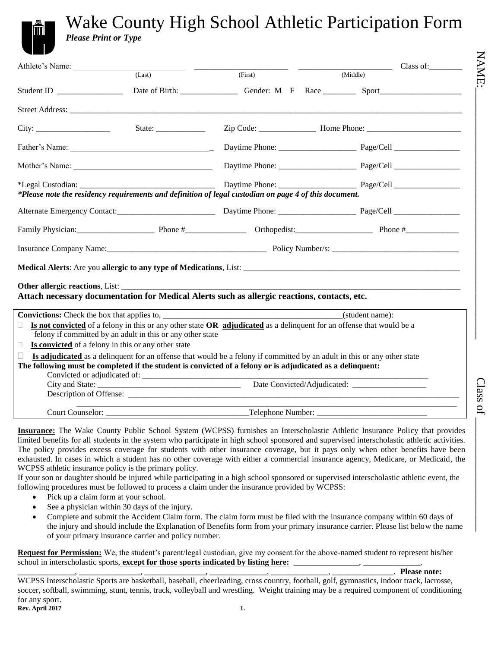# NAME:  $\text{Class of } \square$

Class of

# Wake County High School Athletic Participation Form *Please Print or Type*

| Athlete's Name:                                  |                                                            |                                                                                                            | $\qquad \qquad \text{Class of:}$                                                                                                                                                                                               |
|--------------------------------------------------|------------------------------------------------------------|------------------------------------------------------------------------------------------------------------|--------------------------------------------------------------------------------------------------------------------------------------------------------------------------------------------------------------------------------|
|                                                  | (Last)                                                     | (First)                                                                                                    | (Middle)                                                                                                                                                                                                                       |
| Student ID and the Student ID and the Student ID |                                                            |                                                                                                            |                                                                                                                                                                                                                                |
|                                                  |                                                            |                                                                                                            |                                                                                                                                                                                                                                |
|                                                  |                                                            |                                                                                                            |                                                                                                                                                                                                                                |
|                                                  |                                                            |                                                                                                            |                                                                                                                                                                                                                                |
|                                                  |                                                            |                                                                                                            |                                                                                                                                                                                                                                |
|                                                  |                                                            |                                                                                                            |                                                                                                                                                                                                                                |
|                                                  |                                                            | *Please note the residency requirements and definition of legal custodian on page 4 of this document.      |                                                                                                                                                                                                                                |
|                                                  |                                                            |                                                                                                            |                                                                                                                                                                                                                                |
|                                                  |                                                            |                                                                                                            | Family Physician: Phone # Phone # Phone # Orthopedist: Phone # Phone # Phone # Phone # Phone # Phone # Phone # Phone # Phone # Phone # Phone # Phone # Phone # Phone # Phone # Phone # Phone # Phone # Phone # Phone # Phone # |
|                                                  |                                                            |                                                                                                            |                                                                                                                                                                                                                                |
|                                                  |                                                            |                                                                                                            |                                                                                                                                                                                                                                |
|                                                  |                                                            |                                                                                                            |                                                                                                                                                                                                                                |
|                                                  |                                                            | Attach necessary documentation for Medical Alerts such as allergic reactions, contacts, etc.               |                                                                                                                                                                                                                                |
|                                                  |                                                            |                                                                                                            |                                                                                                                                                                                                                                |
|                                                  |                                                            | <b>Convictions:</b> Check the box that applies to, <b>Convictions</b> (student name):                      |                                                                                                                                                                                                                                |
| П                                                | felony if committed by an adult in this or any other state |                                                                                                            | <b>Is not convicted</b> of a felony in this or any other state OR <b>adjudicated</b> as a delinguent for an offense that would be a                                                                                            |
| $\Box$                                           | Is convicted of a felony in this or any other state        |                                                                                                            |                                                                                                                                                                                                                                |
| П                                                |                                                            |                                                                                                            | Is adjudicated as a delinquent for an offense that would be a felony if committed by an adult in this or any other state                                                                                                       |
|                                                  |                                                            | The following must be completed if the student is convicted of a felony or is adjudicated as a delinquent: |                                                                                                                                                                                                                                |
|                                                  |                                                            |                                                                                                            |                                                                                                                                                                                                                                |
|                                                  |                                                            |                                                                                                            |                                                                                                                                                                                                                                |
|                                                  |                                                            |                                                                                                            |                                                                                                                                                                                                                                |
|                                                  |                                                            |                                                                                                            |                                                                                                                                                                                                                                |

**Insurance:** The Wake County Public School System (WCPSS) furnishes an Interscholastic Athletic Insurance Policy that provides limited benefits for all students in the system who participate in high school sponsored and supervised interscholastic athletic activities. The policy provides excess coverage for students with other insurance coverage, but it pays only when other benefits have been exhausted. In cases in which a student has no other coverage with either a commercial insurance agency, Medicare, or Medicaid, the WCPSS athletic insurance policy is the primary policy.

If your son or daughter should be injured while participating in a high school sponsored or supervised interscholastic athletic event, the following procedures must be followed to process a claim under the insurance provided by WCPSS:

- Pick up a claim form at your school.
- See a physician within 30 days of the injury.
- Complete and submit the Accident Claim form. The claim form must be filed with the insurance company within 60 days of the injury and should include the Explanation of Benefits form from your primary insurance carrier. Please list below the name of your primary insurance carrier and policy number.

**Request for Permission:** We, the student's parent/legal custodian, give my consent for the above-named student to represent his/her school in interscholastic sports, **except for those sports indicated by listing here:** 

\_\_\_\_\_\_\_\_\_\_\_\_\_\_, \_\_\_\_\_\_\_\_\_\_\_\_\_\_\_, \_\_\_\_\_\_\_\_\_\_\_\_\_\_\_, \_\_\_\_\_\_\_\_\_\_\_\_\_\_, \_\_\_\_\_\_\_\_\_\_\_\_\_\_, \_\_\_\_\_\_\_\_\_\_\_\_\_\_\_. **Please note:**

WCPSS Interscholastic Sports are basketball, baseball, cheerleading, cross country, football, golf, gymnastics, indoor track, lacrosse, soccer, softball, swimming, stunt, tennis, track, volleyball and wrestling. Weight training may be a required component of conditioning for any sport.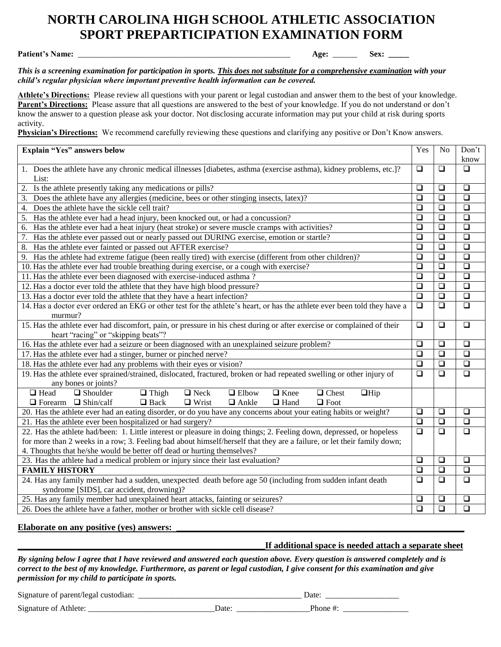# **NORTH CAROLINA HIGH SCHOOL ATHLETIC ASSOCIATION SPORT PREPARTICIPATION EXAMINATION FORM**

**Patient's Name:** \_\_\_\_\_\_\_\_\_\_\_\_\_\_\_\_\_\_\_\_\_\_\_\_\_\_\_\_\_\_\_\_\_\_\_\_\_\_\_\_\_\_\_\_\_\_\_\_\_\_\_\_ **Age:** \_\_\_\_\_\_ **Sex: \_\_\_\_\_**

*This is a screening examination for participation in sports. This does not substitute for a comprehensive examination with your child's regular physician where important preventive health information can be covered.*

**Athlete's Directions:** Please review all questions with your parent or legal custodian and answer them to the best of your knowledge. **Parent's Directions:** Please assure that all questions are answered to the best of your knowledge. If you do not understand or don't know the answer to a question please ask your doctor. Not disclosing accurate information may put your child at risk during sports activity.

**Physician's Directions:** We recommend carefully reviewing these questions and clarifying any positive or Don't Know answers.

| <b>Explain "Yes" answers below</b>                                                                                                                                                                       | Yes    | N <sub>o</sub> | Don't                |
|----------------------------------------------------------------------------------------------------------------------------------------------------------------------------------------------------------|--------|----------------|----------------------|
|                                                                                                                                                                                                          |        |                | know                 |
| 1. Does the athlete have any chronic medical illnesses [diabetes, asthma (exercise asthma), kidney problems, etc.]?<br>List:                                                                             | $\Box$ | $\Box$         | $\Box$               |
| Is the athlete presently taking any medications or pills?                                                                                                                                                | $\Box$ | $\Box$         | $\Box$               |
| Does the athlete have any allergies (medicine, bees or other stinging insects, latex)?<br>3.                                                                                                             | $\Box$ | $\Box$         | $\Box$               |
| Does the athlete have the sickle cell trait?<br>4.                                                                                                                                                       | $\Box$ | $\Box$         | $\Box$               |
| Has the athlete ever had a head injury, been knocked out, or had a concussion?<br>5.                                                                                                                     | $\Box$ | $\Box$         | $\Box$               |
| Has the athlete ever had a heat injury (heat stroke) or severe muscle cramps with activities?<br>6.                                                                                                      | $\Box$ | $\Box$         | $\Box$               |
| Has the athlete ever passed out or nearly passed out DURING exercise, emotion or startle?<br>7.                                                                                                          | $\Box$ | $\Box$         | $\Box$               |
| Has the athlete ever fainted or passed out AFTER exercise?<br>8.                                                                                                                                         | $\Box$ | $\Box$         | $\Box$               |
| Has the athlete had extreme fatigue (been really tired) with exercise (different from other children)?<br>9.                                                                                             | $\Box$ | $\Box$         | $\Box$               |
| 10. Has the athlete ever had trouble breathing during exercise, or a cough with exercise?                                                                                                                | $\Box$ | $\Box$         | $\Box$               |
| 11. Has the athlete ever been diagnosed with exercise-induced asthma?                                                                                                                                    | $\Box$ | $\Box$         | $\Box$               |
| 12. Has a doctor ever told the athlete that they have high blood pressure?                                                                                                                               | $\Box$ | $\Box$         | $\Box$               |
| 13. Has a doctor ever told the athlete that they have a heart infection?                                                                                                                                 | $\Box$ | $\Box$         | $\Box$               |
| 14. Has a doctor ever ordered an EKG or other test for the athlete's heart, or has the athlete ever been told they have a                                                                                | $\Box$ | $\Box$         | $\Box$               |
| murmur?                                                                                                                                                                                                  |        |                |                      |
| 15. Has the athlete ever had discomfort, pain, or pressure in his chest during or after exercise or complained of their                                                                                  | $\Box$ | $\Box$         | $\Box$               |
| heart "racing" or "skipping beats"?                                                                                                                                                                      |        |                |                      |
| 16. Has the athlete ever had a seizure or been diagnosed with an unexplained seizure problem?                                                                                                            | $\Box$ | $\Box$         | $\Box$               |
| 17. Has the athlete ever had a stinger, burner or pinched nerve?                                                                                                                                         | $\Box$ | $\Box$         | $\Box$               |
| 18. Has the athlete ever had any problems with their eyes or vision?                                                                                                                                     | $\Box$ | $\Box$         | $\Box$               |
| 19. Has the athlete ever sprained/strained, dislocated, fractured, broken or had repeated swelling or other injury of                                                                                    | $\Box$ | $\Box$         | $\Box$               |
| any bones or joints?<br>$\Box$ Head<br>$\Box$ Shoulder                                                                                                                                                   |        |                |                      |
| $\Box$ Neck<br>$\Box$ Elbow<br>$\Box$ Knee<br>$\Box$ Chest<br>$\Box$ Hip<br>$\Box$ Thigh<br>$\Box$ Ankle<br>$\Box$ Forearm $\Box$ Shin/calf<br>$\Box$ Back<br>$\Box$ Wrist<br>$\Box$ Hand<br>$\Box$ Foot |        |                |                      |
| 20. Has the athlete ever had an eating disorder, or do you have any concerns about your eating habits or weight?                                                                                         | $\Box$ | $\Box$         | $\Box$               |
| 21. Has the athlete ever been hospitalized or had surgery?                                                                                                                                               | $\Box$ | $\Box$         | $\Box$               |
| 22. Has the athlete had/been: 1. Little interest or pleasure in doing things; 2. Feeling down, depressed, or hopeless                                                                                    |        |                | $\overline{\square}$ |
| for more than 2 weeks in a row; 3. Feeling bad about himself/herself that they are a failure, or let their family down;                                                                                  |        |                |                      |
| 4. Thoughts that he/she would be better off dead or hurting themselves?                                                                                                                                  |        |                |                      |
| 23. Has the athlete had a medical problem or injury since their last evaluation?                                                                                                                         | $\Box$ | $\Box$         | $\Box$               |
| <b>FAMILY HISTORY</b>                                                                                                                                                                                    | $\Box$ | $\Box$         | $\overline{\square}$ |
| 24. Has any family member had a sudden, unexpected death before age 50 (including from sudden infant death                                                                                               | $\Box$ | $\Box$         | $\overline{\square}$ |
| syndrome [SIDS], car accident, drowning)?                                                                                                                                                                |        |                |                      |
| 25. Has any family member had unexplained heart attacks, fainting or seizures?                                                                                                                           | $\Box$ | $\Box$         | $\Box$               |
| 26. Does the athlete have a father, mother or brother with sickle cell disease?                                                                                                                          | $\Box$ | $\Box$         | $\Box$               |

### Elaborate on any positive (yes) answers:

### **\_\_\_\_\_\_\_\_\_\_\_\_\_\_\_\_\_\_\_\_\_\_\_\_\_\_\_\_\_\_\_\_\_\_\_\_\_\_\_\_\_\_\_\_\_\_\_\_\_\_\_\_\_\_\_If additional space is needed attach a separate sheet**

*By signing below I agree that I have reviewed and answered each question above. Every question is answered completely and is correct to the best of my knowledge. Furthermore, as parent or legal custodian, I give consent for this examination and give permission for my child to participate in sports.*

Signature of parent/legal custodian: \_\_\_\_\_\_\_\_\_\_\_\_\_\_\_\_\_\_\_\_\_\_\_\_\_\_\_\_\_\_\_\_\_\_\_\_\_\_\_\_ Date: \_\_\_\_\_\_\_\_\_\_\_\_\_\_\_\_\_\_

Signature of Athlete: \_\_\_\_\_\_\_\_\_\_\_\_\_\_\_\_\_\_\_\_\_\_\_\_\_\_\_\_\_\_\_Date: \_\_\_\_\_\_\_\_\_\_\_\_\_\_\_\_\_\_Phone #: \_\_\_\_\_\_\_\_\_\_\_\_\_\_\_\_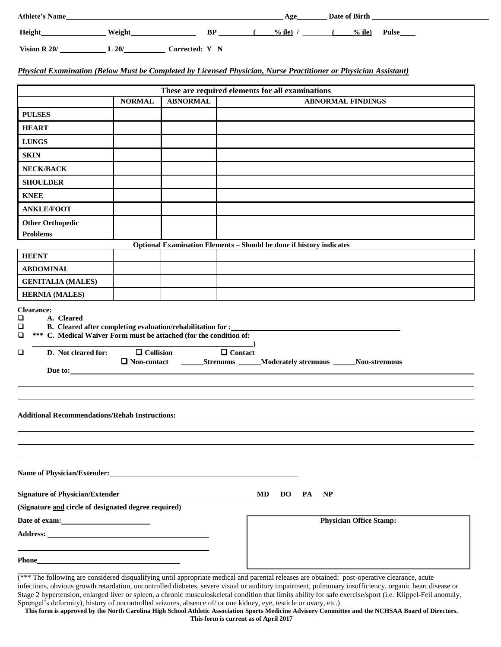| <b>Athlete's Name</b> |               |                | Age      | Date of Birth |              |
|-----------------------|---------------|----------------|----------|---------------|--------------|
| <b>Height</b>         | <b>Weight</b> | BP             | $%$ ile) | $%$ ile)      | <b>Pulse</b> |
| Vision R 20/          | L20/          | Corrected: Y N |          |               |              |

### *Physical Examination (Below Must be Completed by Licensed Physician, Nurse Practitioner or Physician Assistant)*

|                                                                                                          |               | These are required elements for all examinations                    |    |                 |                                                                               |
|----------------------------------------------------------------------------------------------------------|---------------|---------------------------------------------------------------------|----|-----------------|-------------------------------------------------------------------------------|
|                                                                                                          | <b>NORMAL</b> | <b>ABNORMAL</b>                                                     |    |                 | <b>ABNORMAL FINDINGS</b>                                                      |
| <b>PULSES</b>                                                                                            |               |                                                                     |    |                 |                                                                               |
| <b>HEART</b>                                                                                             |               |                                                                     |    |                 |                                                                               |
| <b>LUNGS</b>                                                                                             |               |                                                                     |    |                 |                                                                               |
| <b>SKIN</b>                                                                                              |               |                                                                     |    |                 |                                                                               |
| NECK/BACK                                                                                                |               |                                                                     |    |                 |                                                                               |
| <b>SHOULDER</b>                                                                                          |               |                                                                     |    |                 |                                                                               |
| <b>KNEE</b>                                                                                              |               |                                                                     |    |                 |                                                                               |
| <b>ANKLE/FOOT</b>                                                                                        |               |                                                                     |    |                 |                                                                               |
| <b>Other Orthopedic</b>                                                                                  |               |                                                                     |    |                 |                                                                               |
| <b>Problems</b>                                                                                          |               |                                                                     |    |                 |                                                                               |
|                                                                                                          |               | Optional Examination Elements - Should be done if history indicates |    |                 |                                                                               |
| <b>HEENT</b>                                                                                             |               |                                                                     |    |                 |                                                                               |
| <b>ABDOMINAL</b>                                                                                         |               |                                                                     |    |                 |                                                                               |
| <b>GENITALIA (MALES)</b>                                                                                 |               |                                                                     |    |                 |                                                                               |
| <b>HERNIA (MALES)</b>                                                                                    |               |                                                                     |    |                 |                                                                               |
| *** C. Medical Waiver Form must be attached (for the condition of:<br>□<br>D. Not cleared for:<br>$\Box$ |               | $\begin{array}{c}\n\hline\n\end{array}$<br>$\Box$ Collision         |    |                 | □ Non-contact _______Strenuous ______Moderately strenuous ______Non-strenuous |
| Due to:                                                                                                  |               |                                                                     |    |                 |                                                                               |
|                                                                                                          |               |                                                                     |    |                 |                                                                               |
|                                                                                                          |               |                                                                     |    |                 |                                                                               |
| Additional Recommendations/Rehab Instructions: New York 2014 19:30 19:40                                 |               |                                                                     |    |                 |                                                                               |
|                                                                                                          |               |                                                                     |    |                 |                                                                               |
|                                                                                                          |               |                                                                     |    |                 |                                                                               |
|                                                                                                          |               |                                                                     |    |                 |                                                                               |
|                                                                                                          |               |                                                                     |    |                 |                                                                               |
|                                                                                                          |               |                                                                     |    |                 |                                                                               |
| Name of Physician/Extender:                                                                              |               |                                                                     | MD | <b>DO</b><br>PA | <b>NP</b>                                                                     |
| (Signature and circle of designated degree required)                                                     |               |                                                                     |    |                 |                                                                               |
|                                                                                                          |               |                                                                     |    |                 | <b>Physician Office Stamp:</b>                                                |
| Date of exam:                                                                                            |               |                                                                     |    |                 |                                                                               |
|                                                                                                          |               |                                                                     |    |                 |                                                                               |
|                                                                                                          |               |                                                                     |    |                 |                                                                               |

(\*\*\* The following are considered disqualifying until appropriate medical and parental releases are obtained: post-operative clearance, acute infections, obvious growth retardation, uncontrolled diabetes, severe visual or auditory impairment, pulmonary insufficiency, organic heart disease or Stage 2 hypertension, enlarged liver or spleen, a chronic musculoskeletal condition that limits ability for safe exercise/sport (i.e. Klippel-Feil anomaly, Sprengel's deformity), history of uncontrolled seizures, absence of/ or one kidney, eye, testicle or ovary, etc.)

**This form is approved by the North Carolina High School Athletic Association Sports Medicine Advisory Committee and the NCHSAA Board of Directors. This form is current as of April 2017**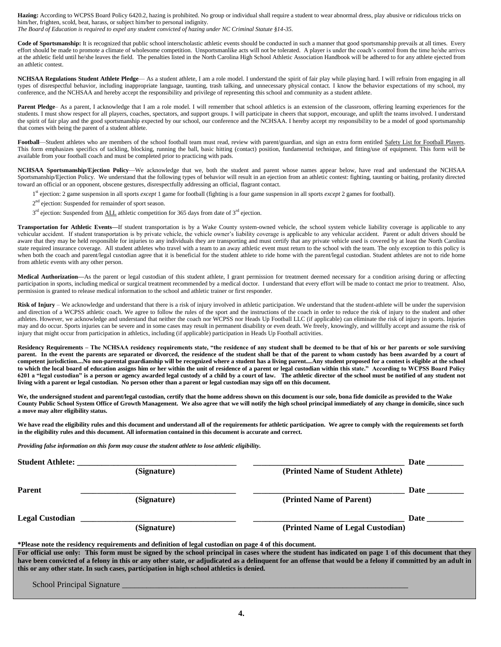Hazing: According to WCPSS Board Policy 6420.2, hazing is prohibited. No group or individual shall require a student to wear abnormal dress, play abusive or ridiculous tricks on him/her, frighten, scold, beat, harass, or subject him/her to personal indignity.

*The Board of Education is required to expel any student convicted of hazing under NC Criminal Statute §14-35.*

Code of Sportsmanship: It is recognized that public school interscholastic athletic events should be conducted in such a manner that good sportsmanship prevails at all times. Every effort should be made to promote a climate of wholesome competition. Unsportsmanlike acts will not be tolerated. A player is under the coach's control from the time he/she arrives at the athletic field until he/she leaves the field. The penalties listed in the North Carolina High School Athletic Association Handbook will be adhered to for any athlete ejected from an athletic contest.

**NCHSAA Regulations Student Athlete Pledge**— As a student athlete, I am a role model. I understand the spirit of fair play while playing hard. I will refrain from engaging in all types of disrespectful behavior, including inappropriate language, taunting, trash talking, and unnecessary physical contact. I know the behavior expectations of my school, my conference, and the NCHSAA and hereby accept the responsibility and privilege of representing this school and community as a student athlete.

Parent Pledge– As a parent, I acknowledge that I am a role model. I will remember that school athletics is an extension of the classroom, offering learning experiences for the students. I must show respect for all players, coaches, spectators, and support groups. I will participate in cheers that support, encourage, and uplift the teams involved. I understand the spirit of fair play and the good sportsmanship expected by our school, our conference and the NCHSAA. I hereby accept my responsibility to be a model of good sportsmanship that comes with being the parent of a student athlete.

**Football**—Student athletes who are members of the school football team must read, review with parent/guardian, and sign an extra form entitled Safety List for Football Players. This form emphasizes specifics of tackling, blocking, running the ball, basic hitting (contact) position, fundamental technique, and fitting/use of equipment. This form will be available from your football coach and must be completed prior to practicing with pads.

**NCHSAA Sportsmanship/Ejection Policy**—We acknowledge that we, both the student and parent whose names appear below, have read and understand the NCHSAA Sportsmanship/Ejection Policy. We understand that the following types of behavior will result in an ejection from an athletic contest: fighting, taunting or baiting, profanity directed toward an official or an opponent, obscene gestures, disrespectfully addressing an official, flagrant contact.

 $1$ st ejection: 2 game suspension in all sports *except* 1 game for football (fighting is a four game suspension in all sports *except* 2 games for football).

 2  $2<sup>nd</sup>$  ejection: Suspended for remainder of sport season.

 3  $3<sup>rd</sup>$  ejection: Suspended from ALL athletic competition for 365 days from date of  $3<sup>rd</sup>$  ejection.

> **Transportation for Athletic Events—**If student transportation is by a Wake County system-owned vehicle, the school system vehicle liability coverage is applicable to any vehicular accident. If student transportation is by private vehicle, the vehicle owner's liability coverage is applicable to any vehicular accident. Parent or adult drivers should be aware that they may be held responsible for injuries to any individuals they are transporting and must certify that any private vehicle used is covered by at least the North Carolina state required insurance coverage. All student athletes who travel with a team to an away athletic event must return to the school with the team. The only exception to this policy is when both the coach and parent/legal custodian agree that it is beneficial for the student athlete to ride home with the parent/legal custodian. Student athletes are not to ride home from athletic events with any other person.

> **Medical Authorization—**As the parent or legal custodian of this student athlete, I grant permission for treatment deemed necessary for a condition arising during or affecting participation in sports, including medical or surgical treatment recommended by a medical doctor. I understand that every effort will be made to contact me prior to treatment. Also, permission is granted to release medical information to the school and athletic trainer or first responder.

> **Risk of Injury** – We acknowledge and understand that there is a risk of injury involved in athletic participation. We understand that the student-athlete will be under the supervision and direction of a WCPSS athletic coach. We agree to follow the rules of the sport and the instructions of the coach in order to reduce the risk of injury to the student and other athletes. However, we acknowledge and understand that neither the coach nor WCPSS nor Heads Up Football LLC (if applicable) can eliminate the risk of injury in sports. Injuries may and do occur. Sports injuries can be severe and in some cases may result in permanent disability or even death. We freely, knowingly, and willfully accept and assume the risk of injury that might occur from participation in athletics, including (if applicable) participation in Heads Up Football activities.

> **Residency Requirements – The NCHSAA residency requirements state, "the residence of any student shall be deemed to be that of his or her parents or sole surviving parent. In the event the parents are separated or divorced, the residence of the student shall be that of the parent to whom custody has been awarded by a court of competent jurisdiction....No non-parental guardianship will be recognized where a student has a living parent....Any student proposed for a contest is eligible at the school to which the local board of education assigns him or her within the unit of residence of a parent or legal custodian within this state." According to WCPSS Board Policy 6201 a "legal custodian" is a person or agency awarded legal custody of a child by a court of law. The athletic director of the school must be notified of any student not living with a parent or legal custodian. No person other than a parent or legal custodian may sign off on this document.**

> We, the undersigned student and parent/legal custodian, certify that the home address shown on this document is our sole, bona fide domicile as provided to the Wake **County Public School System Office of Growth Management. We also agree that we will notify the high school principal immediately of any change in domicile, since such a move may alter eligibility status.**

> We have read the eligibility rules and this document and understand all of the requirements for athletic participation. We agree to comply with the requirements set forth **in the eligibility rules and this document. All information contained in this document is accurate and correct.**

*Providing false information on this form may cause the student athlete to lose athletic eligibility.*

| <b>Student Athlete:</b>                |                                                                                                       |                                                                                                                                                              | <b>Date</b> |
|----------------------------------------|-------------------------------------------------------------------------------------------------------|--------------------------------------------------------------------------------------------------------------------------------------------------------------|-------------|
|                                        | (Signature)                                                                                           | (Printed Name of Student Athlete)                                                                                                                            |             |
| <b>Parent</b>                          |                                                                                                       |                                                                                                                                                              | <b>Date</b> |
|                                        | (Signature)                                                                                           | (Printed Name of Parent)                                                                                                                                     |             |
| <b>Legal Custodian</b>                 |                                                                                                       |                                                                                                                                                              | <b>Date</b> |
|                                        | (Signature)                                                                                           | (Printed Name of Legal Custodian)                                                                                                                            |             |
|                                        | *Please note the residency requirements and definition of legal custodian on page 4 of this document. |                                                                                                                                                              |             |
|                                        |                                                                                                       | For official use only: This form must be signed by the school principal in cases where the student has indicated on page 1 of this document that they        |             |
|                                        |                                                                                                       | have been convicted of a felony in this or any other state, or adjudicated as a delinguent for an offense that would be a felony if committed by an adult in |             |
|                                        | this or any other state. In such cases, participation in high school athletics is denied.             |                                                                                                                                                              |             |
| $\alpha$ 1 1 $\alpha$ i 1 $\alpha$ i 1 |                                                                                                       |                                                                                                                                                              |             |

School Principal Signature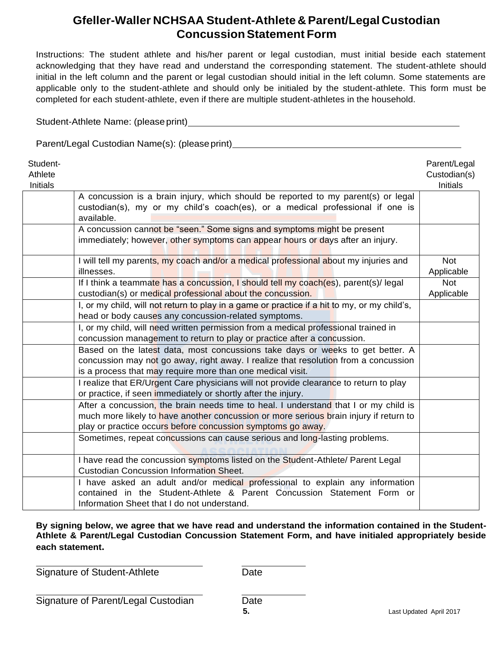# **Gfeller-Waller NCHSAA Student-Athlete & Parent/Legal Custodian ConcussionStatement Form**

Instructions: The student athlete and his/her parent or legal custodian, must initial beside each statement acknowledging that they have read and understand the corresponding statement. The student-athlete should initial in the left column and the parent or legal custodian should initial in the left column. Some statements are applicable only to the student-athlete and should only be initialed by the student-athlete. This form must be completed for each student-athlete, even if there are multiple student-athletes in the household.

Student-Athlete Name: (pleaseprint)

Parent/Legal Custodian Name(s): (pleaseprint)

| Student-<br>Athlete<br><b>Initials</b> |                                                                                                                                                                                                                                              | Parent/Legal<br>Custodian(s)<br><b>Initials</b> |
|----------------------------------------|----------------------------------------------------------------------------------------------------------------------------------------------------------------------------------------------------------------------------------------------|-------------------------------------------------|
|                                        | A concussion is a brain injury, which should be reported to my parent(s) or legal<br>custodian(s), my or my child's coach(es), or a medical professional if one is<br>available.                                                             |                                                 |
|                                        | A concussion cannot be "seen." Some signs and symptoms might be present<br>immediately; however, other symptoms can appear hours or days after an injury.                                                                                    |                                                 |
|                                        | I will tell my parents, my coach and/or a medical professional about my injuries and<br>illnesses.                                                                                                                                           | <b>Not</b><br>Applicable                        |
|                                        | If I think a teammate has a concussion, I should tell my coach(es), parent(s)/ legal<br>custodian(s) or medical professional about the concussion.                                                                                           | <b>Not</b><br>Applicable                        |
|                                        | I, or my child, will not return to play in a game or practice if a hit to my, or my child's,<br>head or body causes any concussion-related symptoms.                                                                                         |                                                 |
|                                        | I, or my child, will need written permission from a medical professional trained in<br>concussion management to return to play or practice after a concussion.                                                                               |                                                 |
|                                        | Based on the latest data, most concussions take days or weeks to get better. A<br>concussion may not go away, right away. I realize that resolution from a concussion<br>is a process that may require more than one medical visit.          |                                                 |
|                                        | I realize that ER/Urgent Care physicians will not provide clearance to return to play<br>or practice, if seen immediately or shortly after the injury.                                                                                       |                                                 |
|                                        | After a concussion, the brain needs time to heal. I understand that I or my child is<br>much more likely to have another concussion or more serious brain injury if return to<br>play or practice occurs before concussion symptoms go away. |                                                 |
|                                        | Sometimes, repeat concussions can cause serious and long-lasting problems.                                                                                                                                                                   |                                                 |
|                                        | I have read the concussion symptoms listed on the Student-Athlete/ Parent Legal<br><b>Custodian Concussion Information Sheet.</b>                                                                                                            |                                                 |
|                                        | I have asked an adult and/or medical professional to explain any information<br>contained in the Student-Athlete & Parent Concussion Statement Form or<br>Information Sheet that I do not understand.                                        |                                                 |

**By signing below, we agree that we have read and understand the information contained in the Student-Athlete & Parent/Legal Custodian Concussion Statement Form, and have initialed appropriately beside each statement.**

Signature of Student-Athlete Date